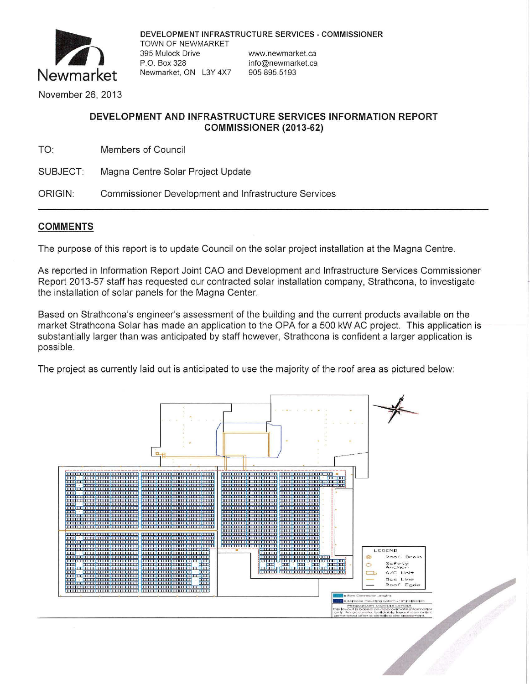

DEVELOPMENT INFRASTRUCTURE SERVICES - COMMISSIONER TOWN OF NEWMARKET 395 Mulock Drive www.newmarket.ca P.O. Box 328 info@newmarket.ca Newmarket, ON L3Y 4X7 905 895.5193

November 26, 2013

## DEVELOPMENT AND INFRASTRUCTURE SERVICES INFORMATION REPORT COMMISSIONER (2013-62)

TO: **Members of Council** 

SUBJECT: Magna Centre Solar Project Update

ORIGIN: **Commissioner Development and Infrastructure Services** 

## **COMMENTS**

The purpose of this report is to update Council on the solar project installation at the Magna Centre.

As reported in Information Report Joint CAO and Development and Infrastructure Services Commissioner Report 2013-57 staff has requested our contracted solar installation company, Strathcona, to investigate the installation of solar panels for the Magna Center.

Based on Strathcona's engineer's assessment of the building and the current products available on the market Strathcona Solar has made an application to the OPA for a 500 kW AC project. This application is substantially larger than was anticipated by staff however, Strathcona is confident a larger application is possible.

The project as currently laid out is anticipated to use the majority of the roof area as pictured below: